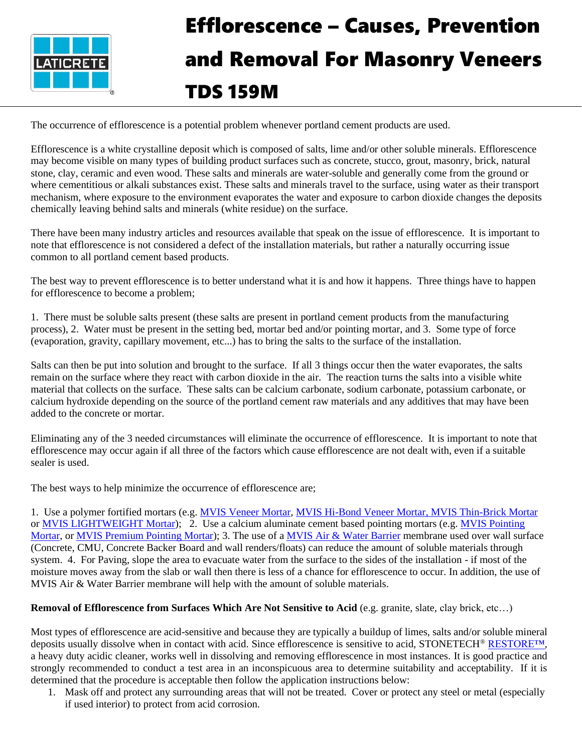

## Efflorescence – Causes, Prevention and Removal For Masonry Veneers TDS 159M

The occurrence of efflorescence is a potential problem whenever portland cement products are used.

Efflorescence is a white crystalline deposit which is composed of salts, lime and/or other soluble minerals. Efflorescence may become visible on many types of building product surfaces such as concrete, stucco, grout, masonry, brick, natural stone, clay, ceramic and even wood. These salts and minerals are water-soluble and generally come from the ground or where cementitious or alkali substances exist. These salts and minerals travel to the surface, using water as their transport mechanism, where exposure to the environment evaporates the water and exposure to carbon dioxide changes the deposits chemically leaving behind salts and minerals (white residue) on the surface.

There have been many industry articles and resources available that speak on the issue of efflorescence. It is important to note that efflorescence is not considered a defect of the installation materials, but rather a naturally occurring issue common to all portland cement based products.

The best way to prevent efflorescence is to better understand what it is and how it happens. Three things have to happen for efflorescence to become a problem;

1. There must be soluble salts present (these salts are present in portland cement products from the manufacturing process), 2. Water must be present in the setting bed, mortar bed and/or pointing mortar, and 3. Some type of force (evaporation, gravity, capillary movement, etc...) has to bring the salts to the surface of the installation.

Salts can then be put into solution and brought to the surface. If all 3 things occur then the water evaporates, the salts remain on the surface where they react with carbon dioxide in the air. The reaction turns the salts into a visible white material that collects on the surface. These salts can be calcium carbonate, sodium carbonate, potassium carbonate, or calcium hydroxide depending on the source of the portland cement raw materials and any additives that may have been added to the concrete or mortar.

Eliminating any of the 3 needed circumstances will eliminate the occurrence of efflorescence. It is important to note that efflorescence may occur again if all three of the factors which cause efflorescence are not dealt with, even if a suitable sealer is used.

The best ways to help minimize the occurrence of efflorescence are;

1. Use a polymer fortified mortars (e.g. **MVIS Veneer Mortar, [MVIS Hi-Bond Veneer Mortar,](https://laticrete.com/masonry-veneer-installation-system/adhesives/adhesives/mvis-hi-bond-veneer-mortar) [MVIS Thin-Brick Mortar](https://laticrete.com/en/masonry-veneer-installation-system/adhesives/adhesives/mvis-thin-brick-mortar)** or [MVIS LIGHTWEIGHT Mortar\)](https://laticrete.com/en/masonry-veneer-installation-system/adhesives/adhesives/mvis-lightweight-mortar); 2. Use a calcium aluminate cement based pointing mortars (e.g. [MVIS Pointing](https://laticrete.com/masonry-veneer-installation-system/pointing-mortars/mvis-pointing-mortar)  [Mortar,](https://laticrete.com/masonry-veneer-installation-system/pointing-mortars/mvis-pointing-mortar) or [MVIS Premium Pointing Mortar\)](https://laticrete.com/masonry-veneer-installation-system/pointing-mortars/mvis-premium-pointing-mortar); 3. The use of [a MVIS Air & Water Barrier](https://laticrete.com/en/masonry-veneer-installation-system/air-and-water-barrier/mvis-air-water-barrier) membrane used over wall surface (Concrete, CMU, Concrete Backer Board and wall renders/floats) can reduce the amount of soluble materials through system. 4. For Paving, slope the area to evacuate water from the surface to the sides of the installation - if most of the moisture moves away from the slab or wall then there is less of a chance for efflorescence to occur. In addition, the use of MVIS Air & Water Barrier membrane will help with the amount of soluble materials.

## **Removal of Efflorescence from Surfaces Which Are Not Sensitive to Acid** (e.g. granite, slate, clay brick, etc…)

Most types of efflorescence are acid-sensitive and because they are typically a buildup of limes, salts and/or soluble mineral deposits usually dissolve when in contact with acid. Since efflorescence is sensitive to acid, STONETECH<sup>®</sup> [RESTORE™,](https://stonetech.com/datasheets/K23801_StoneTechPro_Restore_Acidic_Cleaner_SS.pdf) a heavy duty acidic cleaner, works well in dissolving and removing efflorescence in most instances. It is good practice and strongly recommended to conduct a test area in an inconspicuous area to determine suitability and acceptability. If it is determined that the procedure is acceptable then follow the application instructions below:

1. Mask off and protect any surrounding areas that will not be treated. Cover or protect any steel or metal (especially if used interior) to protect from acid corrosion.